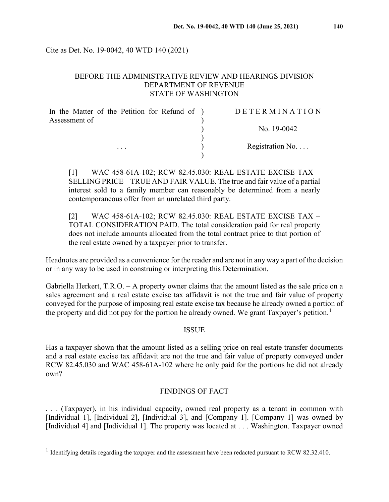Cite as Det. No. 19-0042, 40 WTD 140 (2021)

## BEFORE THE ADMINISTRATIVE REVIEW AND HEARINGS DIVISION DEPARTMENT OF REVENUE STATE OF WASHINGTON

| In the Matter of the Petition for Refund of ) | DETERMINATION   |
|-----------------------------------------------|-----------------|
| Assessment of<br>$\cdots$                     |                 |
|                                               | No. $19-0042$   |
|                                               | Registration No |
|                                               |                 |

[1] WAC 458-61A-102; RCW 82.45.030: REAL ESTATE EXCISE TAX – SELLING PRICE – TRUE AND FAIR VALUE. The true and fair value of a partial interest sold to a family member can reasonably be determined from a nearly contemporaneous offer from an unrelated third party.

[2] WAC 458-61A-102; RCW 82.45.030: REAL ESTATE EXCISE TAX – TOTAL CONSIDERATION PAID. The total consideration paid for real property does not include amounts allocated from the total contract price to that portion of the real estate owned by a taxpayer prior to transfer.

Headnotes are provided as a convenience for the reader and are not in any way a part of the decision or in any way to be used in construing or interpreting this Determination.

Gabriella Herkert, T.R.O. – A property owner claims that the amount listed as the sale price on a sales agreement and a real estate excise tax affidavit is not the true and fair value of property conveyed for the purpose of imposing real estate excise tax because he already owned a portion of the property and did not pay for the portion he already owned. We grant Taxpayer's petition.<sup>[1](#page-0-0)</sup>

#### **ISSUE**

Has a taxpayer shown that the amount listed as a selling price on real estate transfer documents and a real estate excise tax affidavit are not the true and fair value of property conveyed under RCW 82.45.030 and WAC 458-61A-102 where he only paid for the portions he did not already own?

### FINDINGS OF FACT

. . . (Taxpayer), in his individual capacity, owned real property as a tenant in common with [Individual 1], [Individual 2], [Individual 3], and [Company 1]. [Company 1] was owned by [Individual 4] and [Individual 1]. The property was located at . . . Washington. Taxpayer owned

<span id="page-0-0"></span><sup>&</sup>lt;sup>1</sup> Identifying details regarding the taxpayer and the assessment have been redacted pursuant to RCW 82.32.410.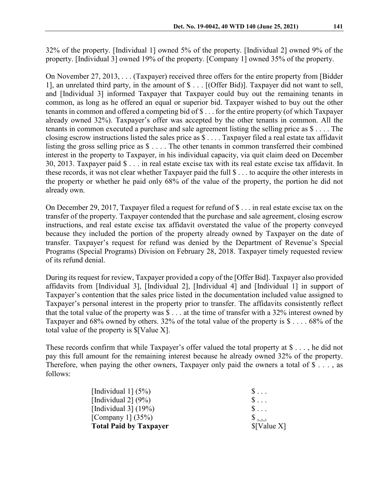32% of the property. [Individual 1] owned 5% of the property. [Individual 2] owned 9% of the property. [Individual 3] owned 19% of the property. [Company 1] owned 35% of the property.

On November 27, 2013, . . . (Taxpayer) received three offers for the entire property from [Bidder 1], an unrelated third party, in the amount of \$ . . . [(Offer Bid)]. Taxpayer did not want to sell, and [Individual 3] informed Taxpayer that Taxpayer could buy out the remaining tenants in common, as long as he offered an equal or superior bid. Taxpayer wished to buy out the other tenants in common and offered a competing bid of \$ . . . for the entire property (of which Taxpayer already owned 32%). Taxpayer's offer was accepted by the other tenants in common. All the tenants in common executed a purchase and sale agreement listing the selling price as \$ . . . . The closing escrow instructions listed the sales price as \$ . . . . Taxpayer filed a real estate tax affidavit listing the gross selling price as \$ . . . . The other tenants in common transferred their combined interest in the property to Taxpayer, in his individual capacity, via quit claim deed on December 30, 2013. Taxpayer paid \$ . . . in real estate excise tax with its real estate excise tax affidavit. In these records, it was not clear whether Taxpayer paid the full \$ . . . to acquire the other interests in the property or whether he paid only 68% of the value of the property, the portion he did not already own.

On December 29, 2017, Taxpayer filed a request for refund of \$ . . . in real estate excise tax on the transfer of the property. Taxpayer contended that the purchase and sale agreement, closing escrow instructions, and real estate excise tax affidavit overstated the value of the property conveyed because they included the portion of the property already owned by Taxpayer on the date of transfer. Taxpayer's request for refund was denied by the Department of Revenue's Special Programs (Special Programs) Division on February 28, 2018. Taxpayer timely requested review of its refund denial.

During its request for review, Taxpayer provided a copy of the [Offer Bid]. Taxpayer also provided affidavits from [Individual 3], [Individual 2], [Individual 4] and [Individual 1] in support of Taxpayer's contention that the sales price listed in the documentation included value assigned to Taxpayer's personal interest in the property prior to transfer. The affidavits consistently reflect that the total value of the property was  $\$\dots$  at the time of transfer with a 32% interest owned by Taxpayer and 68% owned by others. 32% of the total value of the property is \$ . . . . 68% of the total value of the property is \$[Value X].

These records confirm that while Taxpayer's offer valued the total property at \$ . . . , he did not pay this full amount for the remaining interest because he already owned 32% of the property. Therefore, when paying the other owners, Taxpayer only paid the owners a total of  $\$\ldots$ , as follows:

| <b>Total Paid by Taxpayer</b> | \$[Value X] |
|-------------------------------|-------------|
| [Company 1] $(35\%)$          | $\S$        |
| [Individual 3] $(19\%)$       | $S \ldots$  |
| [Individual 2] $(9\%)$        | $S \ldots$  |
| [Individual $1$ ] (5%)        | $S \ldots$  |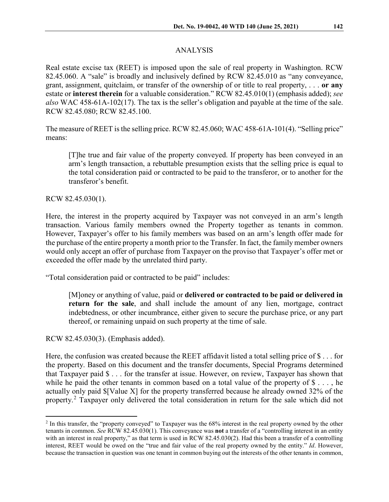# ANALYSIS

Real estate excise tax (REET) is imposed upon the sale of real property in Washington. RCW 82.45.060. A "sale" is broadly and inclusively defined by RCW 82.45.010 as "any conveyance, grant, assignment, quitclaim, or transfer of the ownership of or title to real property, . . . **or any** estate or **interest therein** for a valuable consideration." RCW 82.45.010(1) (emphasis added); *see also* WAC 458-61A-102(17). The tax is the seller's obligation and payable at the time of the sale. RCW 82.45.080; RCW 82.45.100.

The measure of REET is the selling price. RCW 82.45.060; WAC 458-61A-101(4). "Selling price" means:

[T]he true and fair value of the property conveyed. If property has been conveyed in an arm's length transaction, a rebuttable presumption exists that the selling price is equal to the total consideration paid or contracted to be paid to the transferor, or to another for the transferor's benefit.

RCW 82.45.030(1).

Here, the interest in the property acquired by Taxpayer was not conveyed in an arm's length transaction. Various family members owned the Property together as tenants in common. However, Taxpayer's offer to his family members was based on an arm's length offer made for the purchase of the entire property a month prior to the Transfer. In fact, the family member owners would only accept an offer of purchase from Taxpayer on the proviso that Taxpayer's offer met or exceeded the offer made by the unrelated third party.

"Total consideration paid or contracted to be paid" includes:

[M]oney or anything of value, paid or **delivered or contracted to be paid or delivered in return for the sale**, and shall include the amount of any lien, mortgage, contract indebtedness, or other incumbrance, either given to secure the purchase price, or any part thereof, or remaining unpaid on such property at the time of sale.

RCW 82.45.030(3). (Emphasis added).

Here, the confusion was created because the REET affidavit listed a total selling price of \$ . . . for the property. Based on this document and the transfer documents, Special Programs determined that Taxpayer paid \$ . . . for the transfer at issue. However, on review, Taxpayer has shown that while he paid the other tenants in common based on a total value of the property of  $\mathcal{S} \ldots$ , he actually only paid \$[Value X] for the property transferred because he already owned 32% of the property.<sup>[2](#page-2-0)</sup> Taxpayer only delivered the total consideration in return for the sale which did not

<span id="page-2-0"></span><sup>&</sup>lt;sup>2</sup> In this transfer, the "property conveyed" to Taxpayer was the 68% interest in the real property owned by the other tenants in common. *See* RCW 82.45.030(1). This conveyance was **not** a transfer of a "controlling interest in an entity with an interest in real property," as that term is used in RCW 82.45.030(2). Had this been a transfer of a controlling interest, REET would be owed on the "true and fair value of the real property owned by the entity." *Id*. However, because the transaction in question was one tenant in common buying out the interests of the other tenants in common,